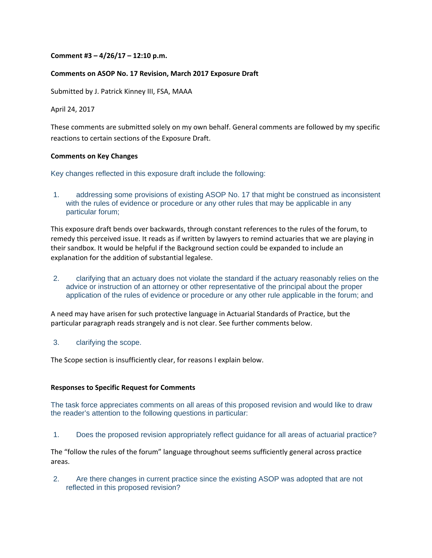#### **Comment #3 – 4/26/17 – 12:10 p.m.**

#### **Comments on ASOP No. 17 Revision, March 2017 Exposure Draft**

Submitted by J. Patrick Kinney III, FSA, MAAA

April 24, 2017

These comments are submitted solely on my own behalf. General comments are followed by my specific reactions to certain sections of the Exposure Draft.

#### **Comments on Key Changes**

Key changes reflected in this exposure draft include the following:

1. addressing some provisions of existing ASOP No. 17 that might be construed as inconsistent with the rules of evidence or procedure or any other rules that may be applicable in any particular forum;

This exposure draft bends over backwards, through constant references to the rules of the forum, to remedy this perceived issue. It reads as if written by lawyers to remind actuaries that we are playing in their sandbox. It would be helpful if the Background section could be expanded to include an explanation for the addition of substantial legalese.

2. clarifying that an actuary does not violate the standard if the actuary reasonably relies on the advice or instruction of an attorney or other representative of the principal about the proper application of the rules of evidence or procedure or any other rule applicable in the forum; and

A need may have arisen for such protective language in Actuarial Standards of Practice, but the particular paragraph reads strangely and is not clear. See further comments below.

3. clarifying the scope.

The Scope section is insufficiently clear, for reasons I explain below.

#### **Responses to Specific Request for Comments**

The task force appreciates comments on all areas of this proposed revision and would like to draw the reader's attention to the following questions in particular:

1. Does the proposed revision appropriately reflect guidance for all areas of actuarial practice?

The "follow the rules of the forum" language throughout seems sufficiently general across practice areas.

2. Are there changes in current practice since the existing ASOP was adopted that are not reflected in this proposed revision?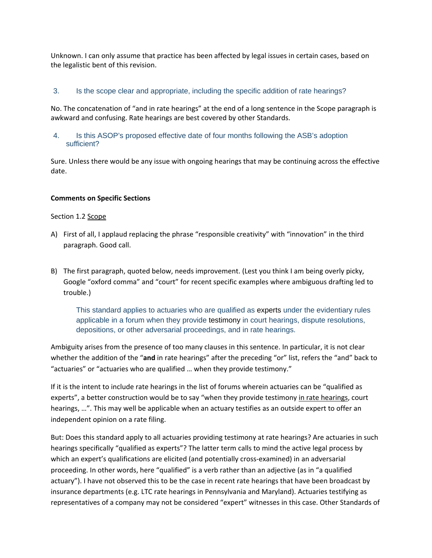Unknown. I can only assume that practice has been affected by legal issues in certain cases, based on the legalistic bent of this revision.

# 3. Is the scope clear and appropriate, including the specific addition of rate hearings?

No. The concatenation of "and in rate hearings" at the end of a long sentence in the Scope paragraph is awkward and confusing. Rate hearings are best covered by other Standards.

# 4. Is this ASOP's proposed effective date of four months following the ASB's adoption sufficient?

Sure. Unless there would be any issue with ongoing hearings that may be continuing across the effective date.

## **Comments on Specific Sections**

#### Section 1.2 Scope

- A) First of all, I applaud replacing the phrase "responsible creativity" with "innovation" in the third paragraph. Good call.
- B) The first paragraph, quoted below, needs improvement. (Lest you think I am being overly picky, Google "oxford comma" and "court" for recent specific examples where ambiguous drafting led to trouble.)

This standard applies to actuaries who are qualified as experts under the evidentiary rules applicable in a forum when they provide testimony in court hearings, dispute resolutions, depositions, or other adversarial proceedings, and in rate hearings.

Ambiguity arises from the presence of too many clauses in this sentence. In particular, it is not clear whether the addition of the "**and** in rate hearings" after the preceding "or" list, refers the "and" back to "actuaries" or "actuaries who are qualified … when they provide testimony."

If it is the intent to include rate hearings in the list of forums wherein actuaries can be "qualified as experts", a better construction would be to say "when they provide testimony in rate hearings, court hearings, …". This may well be applicable when an actuary testifies as an outside expert to offer an independent opinion on a rate filing.

But: Does this standard apply to all actuaries providing testimony at rate hearings? Are actuaries in such hearings specifically "qualified as experts"? The latter term calls to mind the active legal process by which an expert's qualifications are elicited (and potentially cross-examined) in an adversarial proceeding. In other words, here "qualified" is a verb rather than an adjective (as in "a qualified actuary"). I have not observed this to be the case in recent rate hearings that have been broadcast by insurance departments (e.g. LTC rate hearings in Pennsylvania and Maryland). Actuaries testifying as representatives of a company may not be considered "expert" witnesses in this case. Other Standards of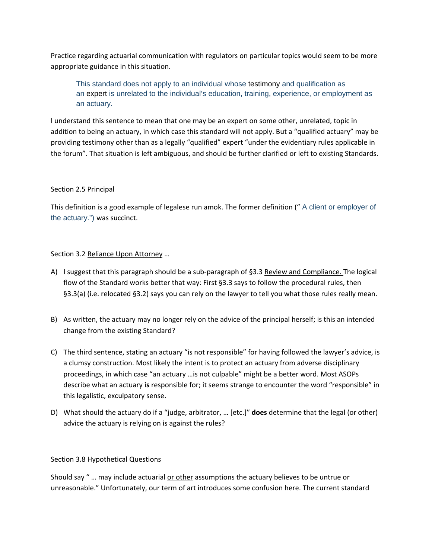Practice regarding actuarial communication with regulators on particular topics would seem to be more appropriate guidance in this situation.

This standard does not apply to an individual whose testimony and qualification as an expert is unrelated to the individual's education, training, experience, or employment as an actuary.

I understand this sentence to mean that one may be an expert on some other, unrelated, topic in addition to being an actuary, in which case this standard will not apply. But a "qualified actuary" may be providing testimony other than as a legally "qualified" expert "under the evidentiary rules applicable in the forum". That situation is left ambiguous, and should be further clarified or left to existing Standards.

# Section 2.5 Principal

This definition is a good example of legalese run amok. The former definition (" A client or employer of the actuary.") was succinct.

# Section 3.2 Reliance Upon Attorney …

- A) I suggest that this paragraph should be a sub‐paragraph of §3.3 Review and Compliance. The logical flow of the Standard works better that way: First §3.3 says to follow the procedural rules, then §3.3(a) (i.e. relocated §3.2) says you can rely on the lawyer to tell you what those rules really mean.
- B) As written, the actuary may no longer rely on the advice of the principal herself; is this an intended change from the existing Standard?
- C) The third sentence, stating an actuary "is not responsible" for having followed the lawyer's advice, is a clumsy construction. Most likely the intent is to protect an actuary from adverse disciplinary proceedings, in which case "an actuary …is not culpable" might be a better word. Most ASOPs describe what an actuary **is** responsible for; it seems strange to encounter the word "responsible" in this legalistic, exculpatory sense.
- D) What should the actuary do if a "judge, arbitrator, … [etc.]" **does** determine that the legal (or other) advice the actuary is relying on is against the rules?

## Section 3.8 Hypothetical Questions

Should say " … may include actuarial or other assumptions the actuary believes to be untrue or unreasonable." Unfortunately, our term of art introduces some confusion here. The current standard